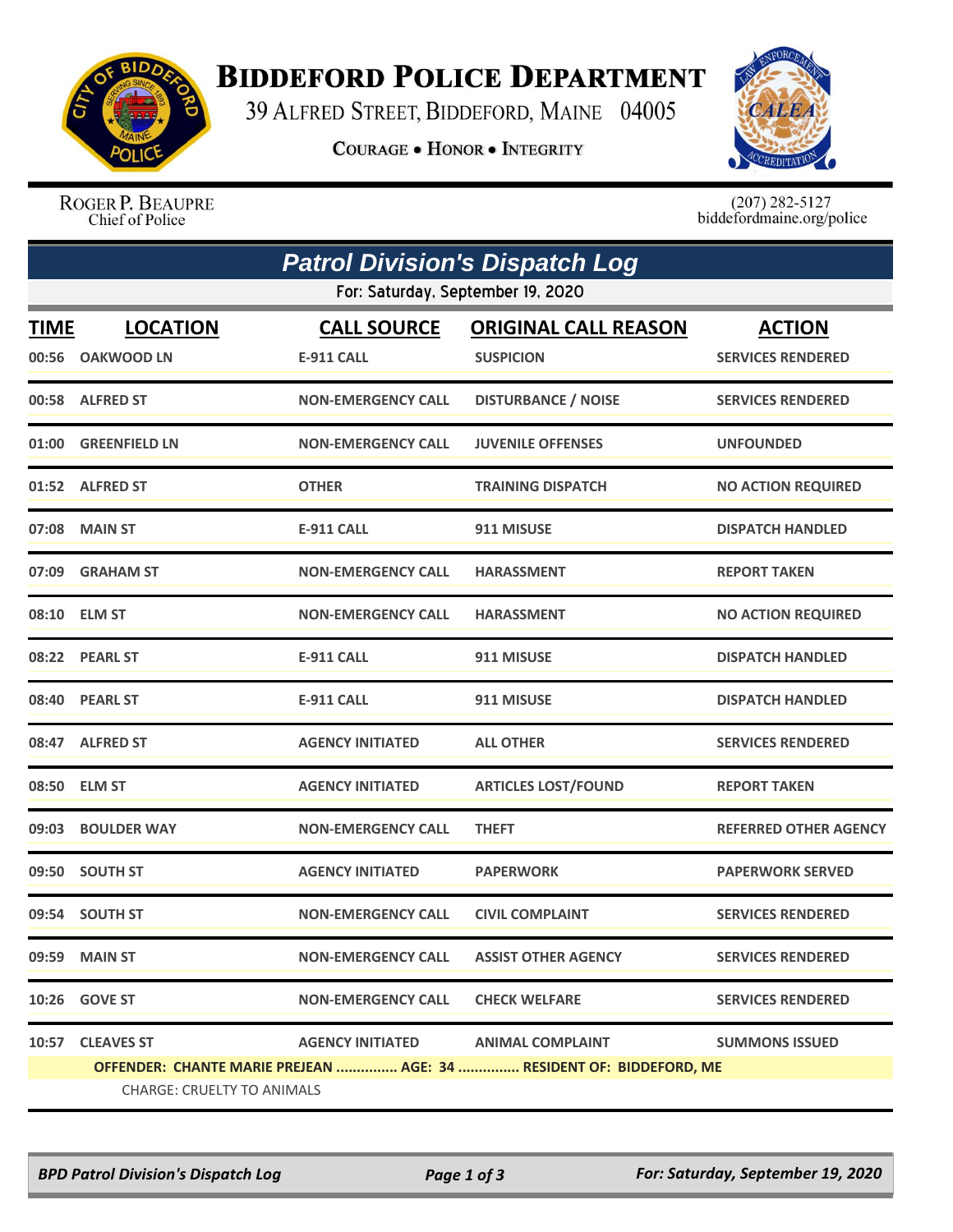

## **BIDDEFORD POLICE DEPARTMENT**

39 ALFRED STREET, BIDDEFORD, MAINE 04005

**COURAGE . HONOR . INTEGRITY** 



ROGER P. BEAUPRE Chief of Police

 $(207)$  282-5127<br>biddefordmaine.org/police

| <b>Patrol Division's Dispatch Log</b> |                                                                     |                                         |                                                 |                                           |  |  |  |  |
|---------------------------------------|---------------------------------------------------------------------|-----------------------------------------|-------------------------------------------------|-------------------------------------------|--|--|--|--|
|                                       | For: Saturday, September 19, 2020                                   |                                         |                                                 |                                           |  |  |  |  |
| <b>TIME</b><br>00:56                  | <b>LOCATION</b><br><b>OAKWOOD LN</b>                                | <b>CALL SOURCE</b><br><b>E-911 CALL</b> | <b>ORIGINAL CALL REASON</b><br><b>SUSPICION</b> | <b>ACTION</b><br><b>SERVICES RENDERED</b> |  |  |  |  |
|                                       | 00:58 ALFRED ST                                                     | <b>NON-EMERGENCY CALL</b>               | <b>DISTURBANCE / NOISE</b>                      | <b>SERVICES RENDERED</b>                  |  |  |  |  |
|                                       | 01:00 GREENFIELD LN                                                 | <b>NON-EMERGENCY CALL</b>               | <b>JUVENILE OFFENSES</b>                        | <b>UNFOUNDED</b>                          |  |  |  |  |
|                                       | 01:52 ALFRED ST                                                     | <b>OTHER</b>                            | <b>TRAINING DISPATCH</b>                        | <b>NO ACTION REQUIRED</b>                 |  |  |  |  |
|                                       | 07:08 MAIN ST                                                       | <b>E-911 CALL</b>                       | 911 MISUSE                                      | <b>DISPATCH HANDLED</b>                   |  |  |  |  |
|                                       | 07:09 GRAHAM ST                                                     | <b>NON-EMERGENCY CALL</b>               | <b>HARASSMENT</b>                               | <b>REPORT TAKEN</b>                       |  |  |  |  |
|                                       | 08:10 ELM ST                                                        | <b>NON-EMERGENCY CALL</b>               | <b>HARASSMENT</b>                               | <b>NO ACTION REQUIRED</b>                 |  |  |  |  |
|                                       | 08:22 PEARL ST                                                      | <b>E-911 CALL</b>                       | 911 MISUSE                                      | <b>DISPATCH HANDLED</b>                   |  |  |  |  |
|                                       | 08:40 PEARL ST                                                      | <b>E-911 CALL</b>                       | 911 MISUSE                                      | <b>DISPATCH HANDLED</b>                   |  |  |  |  |
|                                       | 08:47 ALFRED ST                                                     | <b>AGENCY INITIATED</b>                 | <b>ALL OTHER</b>                                | <b>SERVICES RENDERED</b>                  |  |  |  |  |
| 08:50                                 | <b>ELM ST</b>                                                       | <b>AGENCY INITIATED</b>                 | <b>ARTICLES LOST/FOUND</b>                      | <b>REPORT TAKEN</b>                       |  |  |  |  |
|                                       | 09:03 BOULDER WAY                                                   | <b>NON-EMERGENCY CALL</b>               | <b>THEFT</b>                                    | REFERRED OTHER AGENCY                     |  |  |  |  |
|                                       | 09:50 SOUTH ST                                                      | <b>AGENCY INITIATED</b>                 | <b>PAPERWORK</b>                                | <b>PAPERWORK SERVED</b>                   |  |  |  |  |
|                                       | 09:54 SOUTH ST                                                      | <b>NON-EMERGENCY CALL</b>               | <b>CIVIL COMPLAINT</b>                          | <b>SERVICES RENDERED</b>                  |  |  |  |  |
|                                       | 09:59 MAIN ST                                                       | <b>NON-EMERGENCY CALL</b>               | <b>ASSIST OTHER AGENCY</b>                      | <b>SERVICES RENDERED</b>                  |  |  |  |  |
|                                       | 10:26 GOVE ST                                                       | <b>NON-EMERGENCY CALL</b>               | <b>CHECK WELFARE</b>                            | <b>SERVICES RENDERED</b>                  |  |  |  |  |
|                                       | 10:57 CLEAVES ST                                                    | AGENCY INITIATED ANIMAL COMPLAINT       |                                                 | <b>SUMMONS ISSUED</b>                     |  |  |  |  |
|                                       | OFFENDER: CHANTE MARIE PREJEAN  AGE: 34  RESIDENT OF: BIDDEFORD, ME |                                         |                                                 |                                           |  |  |  |  |
|                                       | <b>CHARGE: CRUELTY TO ANIMALS</b>                                   |                                         |                                                 |                                           |  |  |  |  |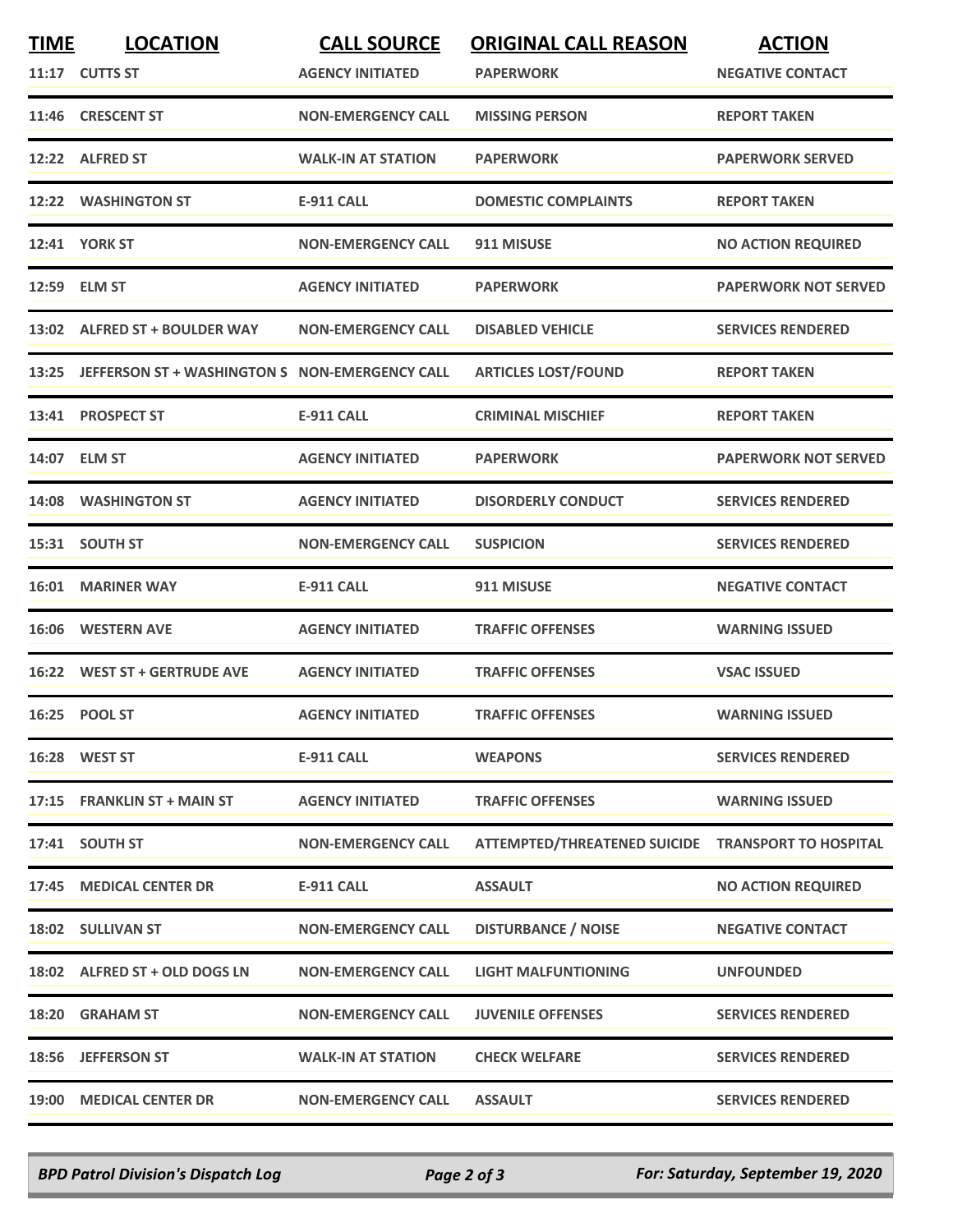| <b>TIME</b> | <b>LOCATION</b>                                      | <b>CALL SOURCE</b>        | <b>ORIGINAL CALL REASON</b>                        | <b>ACTION</b>               |
|-------------|------------------------------------------------------|---------------------------|----------------------------------------------------|-----------------------------|
|             | 11:17 CUTTS ST                                       | <b>AGENCY INITIATED</b>   | <b>PAPERWORK</b>                                   | <b>NEGATIVE CONTACT</b>     |
|             | 11:46 CRESCENT ST                                    | <b>NON-EMERGENCY CALL</b> | <b>MISSING PERSON</b>                              | <b>REPORT TAKEN</b>         |
|             | 12:22 ALFRED ST                                      | <b>WALK-IN AT STATION</b> | <b>PAPERWORK</b>                                   | <b>PAPERWORK SERVED</b>     |
|             | 12:22 WASHINGTON ST                                  | <b>E-911 CALL</b>         | <b>DOMESTIC COMPLAINTS</b>                         | <b>REPORT TAKEN</b>         |
|             | <b>12:41 YORK ST</b>                                 | <b>NON-EMERGENCY CALL</b> | 911 MISUSE                                         | <b>NO ACTION REQUIRED</b>   |
|             | 12:59 ELM ST                                         | <b>AGENCY INITIATED</b>   | <b>PAPERWORK</b>                                   | PAPERWORK NOT SERVED        |
|             | 13:02 ALFRED ST + BOULDER WAY                        | <b>NON-EMERGENCY CALL</b> | <b>DISABLED VEHICLE</b>                            | <b>SERVICES RENDERED</b>    |
|             | 13:25 JEFFERSON ST + WASHINGTON S NON-EMERGENCY CALL |                           | <b>ARTICLES LOST/FOUND</b>                         | <b>REPORT TAKEN</b>         |
|             | 13:41 PROSPECT ST                                    | <b>E-911 CALL</b>         | <b>CRIMINAL MISCHIEF</b>                           | <b>REPORT TAKEN</b>         |
| 14:07       | <b>ELM ST</b>                                        | <b>AGENCY INITIATED</b>   | <b>PAPERWORK</b>                                   | <b>PAPERWORK NOT SERVED</b> |
|             | 14:08 WASHINGTON ST                                  | <b>AGENCY INITIATED</b>   | <b>DISORDERLY CONDUCT</b>                          | <b>SERVICES RENDERED</b>    |
|             | 15:31 SOUTH ST                                       | <b>NON-EMERGENCY CALL</b> | <b>SUSPICION</b>                                   | <b>SERVICES RENDERED</b>    |
|             | <b>16:01 MARINER WAY</b>                             | <b>E-911 CALL</b>         | 911 MISUSE                                         | <b>NEGATIVE CONTACT</b>     |
|             | 16:06 WESTERN AVE                                    | <b>AGENCY INITIATED</b>   | <b>TRAFFIC OFFENSES</b>                            | <b>WARNING ISSUED</b>       |
|             | 16:22 WEST ST + GERTRUDE AVE                         | <b>AGENCY INITIATED</b>   | <b>TRAFFIC OFFENSES</b>                            | <b>VSAC ISSUED</b>          |
|             | 16:25 POOL ST                                        | <b>AGENCY INITIATED</b>   | <b>TRAFFIC OFFENSES</b>                            | <b>WARNING ISSUED</b>       |
|             | 16:28 WEST ST                                        | <b>E-911 CALL</b>         | <b>WEAPONS</b>                                     | <b>SERVICES RENDERED</b>    |
|             | 17:15 FRANKLIN ST + MAIN ST                          | <b>AGENCY INITIATED</b>   | <b>TRAFFIC OFFENSES</b>                            | <b>WARNING ISSUED</b>       |
|             | 17:41 SOUTH ST                                       | <b>NON-EMERGENCY CALL</b> | ATTEMPTED/THREATENED SUICIDE TRANSPORT TO HOSPITAL |                             |
|             | 17:45 MEDICAL CENTER DR                              | <b>E-911 CALL</b>         | <b>ASSAULT</b>                                     | <b>NO ACTION REQUIRED</b>   |
|             | 18:02 SULLIVAN ST                                    | <b>NON-EMERGENCY CALL</b> | <b>DISTURBANCE / NOISE</b>                         | <b>NEGATIVE CONTACT</b>     |
|             | 18:02 ALFRED ST + OLD DOGS LN                        | <b>NON-EMERGENCY CALL</b> | <b>LIGHT MALFUNTIONING</b>                         | <b>UNFOUNDED</b>            |
|             | 18:20 GRAHAM ST                                      | <b>NON-EMERGENCY CALL</b> | <b>JUVENILE OFFENSES</b>                           | <b>SERVICES RENDERED</b>    |
|             | 18:56 JEFFERSON ST                                   | <b>WALK-IN AT STATION</b> | <b>CHECK WELFARE</b>                               | <b>SERVICES RENDERED</b>    |
|             | 19:00 MEDICAL CENTER DR                              | <b>NON-EMERGENCY CALL</b> | <b>ASSAULT</b>                                     | <b>SERVICES RENDERED</b>    |

*BPD Patrol Division's Dispatch Log Page 2 of 3 For: Saturday, September 19, 2020*